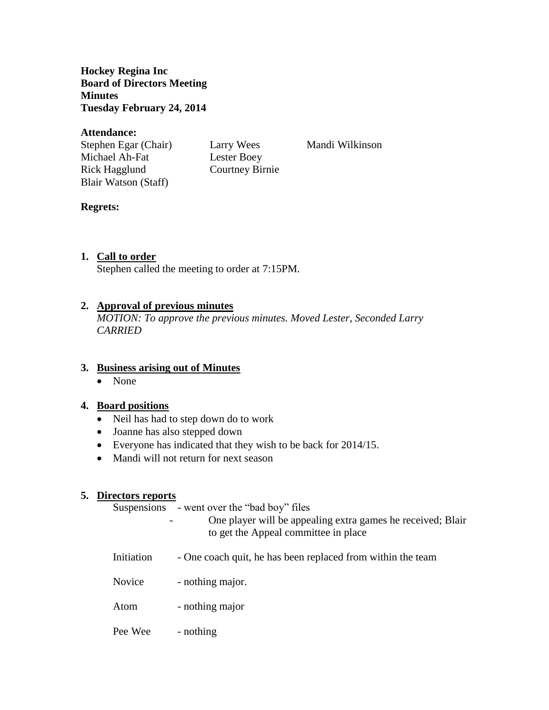**Hockey Regina Inc Board of Directors Meeting Minutes Tuesday February 24, 2014**

#### **Attendance:**

Stephen Egar (Chair) Larry Wees Mandi Wilkinson Michael Ah-Fat Lester Boey Rick Hagglund Courtney Birnie Blair Watson (Staff)

### **Regrets:**

# **1. Call to order**

Stephen called the meeting to order at 7:15PM.

## **2. Approval of previous minutes**

*MOTION: To approve the previous minutes. Moved Lester, Seconded Larry CARRIED*

### **3. Business arising out of Minutes**

• None

### **4. Board positions**

- Neil has had to step down do to work
- Joanne has also stepped down
- Everyone has indicated that they wish to be back for 2014/15.
- Mandi will not return for next season

### **5. Directors reports**

Suspensions - went over the "bad boy" files

- One player will be appealing extra games he received; Blair to get the Appeal committee in place
- Initiation One coach quit, he has been replaced from within the team
- Novice nothing major.
- Atom nothing major
- Pee Wee nothing